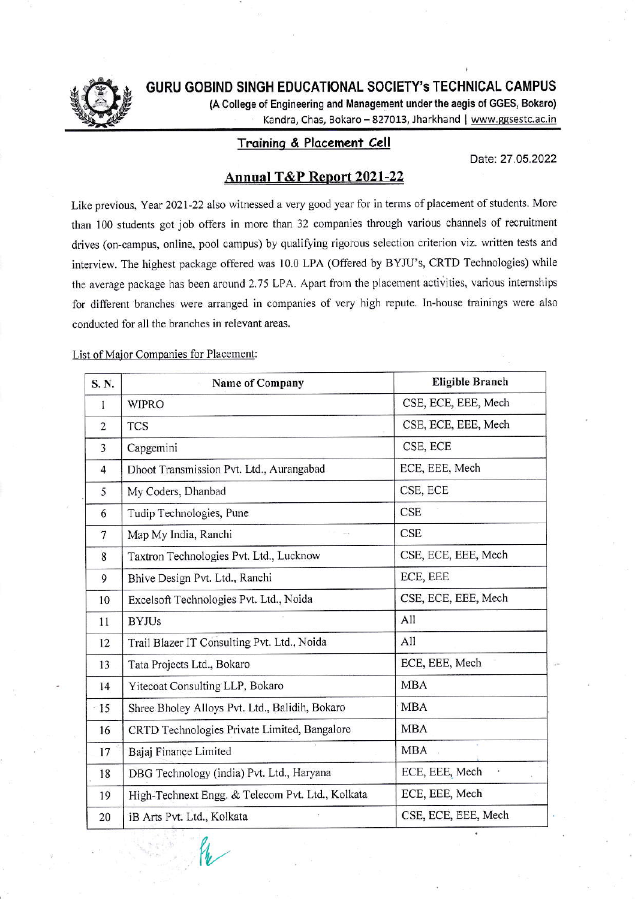

GURU GOBIND SINGH EDUCATIONAL SOCIETY's TECHNICAL CAMPUS

(A College of Engineering and Management under the aegis of GGES, Bokaro)

Kandra, Chas, Bokaro - 827013, Jharkhand | www.ggsestc.ac.in

## Training & Placement Cell

Date: 27.05.2022

## Annual T&P Report 2021-22

Like previous, Year 2021-22 also witnessed a very good year for in terms of placement of students. More than 100 students got job offers in more than 32 companies through various channels of recruitment drives (on-campus, online, pool campus) by qualifying rigorous selection criterion viz. written tests and interview. The highest package offered was 10.0 LPA (Offered by BYJU's, CRTD Technologies) while the average package has been around 2.75 LPA. Apart from the placement activities, various internships for different branches were arranged in companies of very high repute. In-house trainings were also conducted for all the branches in relevant areas.

List of Major Companies for Placement:

| S. N.          | <b>Name of Company</b>                           | <b>Eligible Branch</b> |  |
|----------------|--------------------------------------------------|------------------------|--|
| 1              | <b>WIPRO</b>                                     | CSE, ECE, EEE, Mech    |  |
| $\overline{2}$ | <b>TCS</b>                                       | CSE, ECE, EEE, Mech    |  |
| 3              | Capgemini                                        | CSE, ECE               |  |
| $\overline{4}$ | Dhoot Transmission Pvt. Ltd., Aurangabad         | ECE, EEE, Mech         |  |
| 5              | My Coders, Dhanbad                               | CSE, ECE               |  |
| 6              | Tudip Technologies, Pune                         | <b>CSE</b>             |  |
| $\overline{7}$ | Map My India, Ranchi                             | <b>CSE</b>             |  |
| 8              | Taxtron Technologies Pvt. Ltd., Lucknow          | CSE, ECE, EEE, Mech    |  |
| 9              | Bhive Design Pvt. Ltd., Ranchi                   | ECE, EEE               |  |
| 10             | Excelsoft Technologies Pvt. Ltd., Noida          | CSE, ECE, EEE, Mech    |  |
| 11             | <b>BYJUs</b>                                     | All                    |  |
| 12             | Trail Blazer IT Consulting Pvt. Ltd., Noida      | All                    |  |
| 13             | Tata Projects Ltd., Bokaro                       | ECE, EEE, Mech         |  |
| 14             | Yitecoat Consulting LLP, Bokaro                  | <b>MBA</b>             |  |
| $-15$          | Shree Bholey Alloys Pvt. Ltd., Balidih, Bokaro   | <b>MBA</b>             |  |
| 16             | CRTD Technologies Private Limited, Bangalore     | <b>MBA</b>             |  |
| 17             | Bajaj Finance Limited                            | <b>MBA</b>             |  |
| 18             | DBG Technology (india) Pvt. Ltd., Haryana        | ECE, EEE, Mech<br>¥    |  |
| 19             | High-Technext Engg. & Telecom Pvt. Ltd., Kolkata | ECE, EEE, Mech         |  |
| 20             | iB Arts Pvt. Ltd., Kolkata                       | CSE, ECE, EEE, Mech    |  |